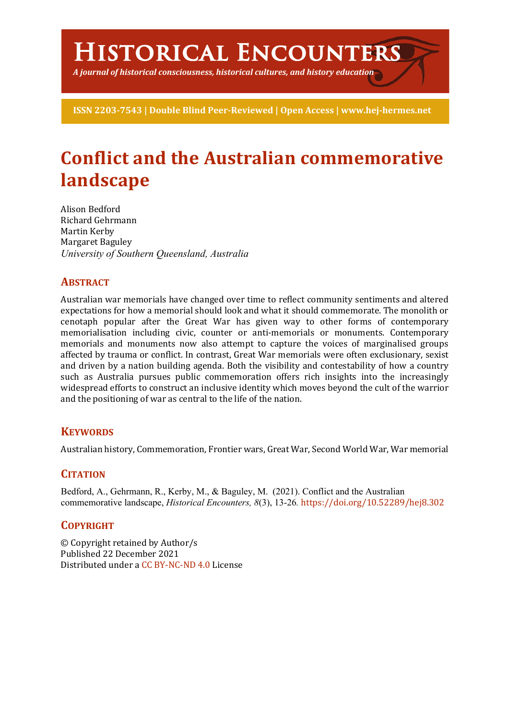# **Historical Encounters**

*A journal of historical consciousness, historical cultures, and history education*

**ISSN 2203-7543 | Double Blind Peer-Reviewed | Open Access | www.hej-hermes.net**

# **Conflict and the Australian commemorative landscape**

Alison Bedford Richard Gehrmann Martin Kerby Margaret Baguley *University of Southern Queensland, Australia*

# **ABSTRACT**

Australian war memorials have changed over time to reflect community sentiments and altered expectations for how a memorial should look and what it should commemorate. The monolith or cenotaph popular after the Great War has given way to other forms of contemporary memorialisation including civic, counter or anti-memorials or monuments. Contemporary memorials and monuments now also attempt to capture the voices of marginalised groups affected by trauma or conflict. In contrast, Great War memorials were often exclusionary, sexist and driven by a nation building agenda. Both the visibility and contestability of how a country such as Australia pursues public commemoration offers rich insights into the increasingly widespread efforts to construct an inclusive identity which moves beyond the cult of the warrior and the positioning of war as central to the life of the nation.

# **KEYWORDS**

Australian history, Commemoration, Frontier wars, Great War, Second World War, War memorial

# **CITATION**

Bedford, A., Gehrmann, R., Kerby, M., & Baguley, M. (2021). Conflict and the Australian commemorative landscape, *Historical Encounters, 8*(3), 13-26*.* https://doi.org/10.52289/hej8.302

#### **COPYRIGHT**

© Copyright retained by Author/s Published 22 December 2021 Distributed under a CC BY-NC-ND 4.0 License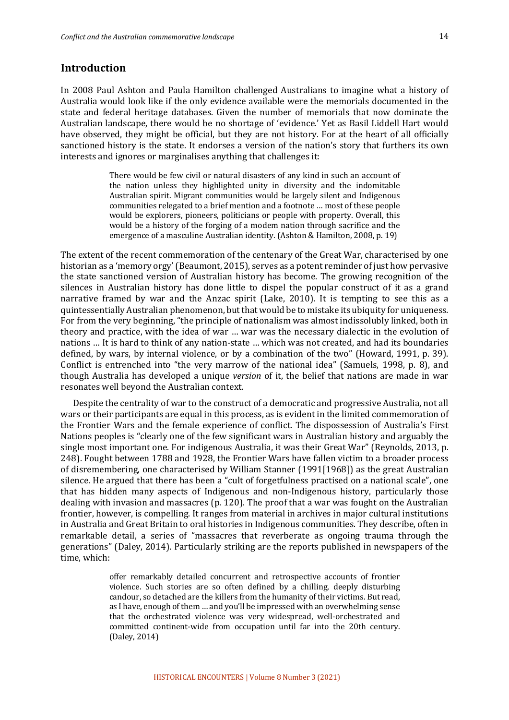#### **Introduction**

In 2008 Paul Ashton and Paula Hamilton challenged Australians to imagine what a history of Australia would look like if the only evidence available were the memorials documented in the state and federal heritage databases. Given the number of memorials that now dominate the Australian landscape, there would be no shortage of 'evidence.' Yet as Basil Liddell Hart would have observed, they might be official, but they are not history. For at the heart of all officially sanctioned history is the state. It endorses a version of the nation's story that furthers its own interests and ignores or marginalises anything that challenges it:

> There would be few civil or natural disasters of any kind in such an account of the nation unless they highlighted unity in diversity and the indomitable Australian spirit. Migrant communities would be largely silent and Indigenous communities relegated to a brief mention and a footnote ... most of these people would be explorers, pioneers, politicians or people with property. Overall, this would be a history of the forging of a modem nation through sacrifice and the emergence of a masculine Australian identity. (Ashton & Hamilton, 2008, p. 19)

The extent of the recent commemoration of the centenary of the Great War, characterised by one historian as a 'memory orgy' (Beaumont, 2015), serves as a potent reminder of just how pervasive the state sanctioned version of Australian history has become. The growing recognition of the silences in Australian history has done little to dispel the popular construct of it as a grand narrative framed by war and the Anzac spirit (Lake, 2010). It is tempting to see this as a quintessentially Australian phenomenon, but that would be to mistake its ubiquity for uniqueness. For from the very beginning, "the principle of nationalism was almost indissolubly linked, both in theory and practice, with the idea of war ... war was the necessary dialectic in the evolution of nations ... It is hard to think of any nation-state ... which was not created, and had its boundaries defined, by wars, by internal violence, or by a combination of the two" (Howard, 1991, p. 39). Conflict is entrenched into "the very marrow of the national idea" (Samuels, 1998, p. 8), and though Australia has developed a unique *version* of it, the belief that nations are made in war resonates well beyond the Australian context.

Despite the centrality of war to the construct of a democratic and progressive Australia, not all wars or their participants are equal in this process, as is evident in the limited commemoration of the Frontier Wars and the female experience of conflict. The dispossession of Australia's First Nations peoples is "clearly one of the few significant wars in Australian history and arguably the single most important one. For indigenous Australia, it was their Great War" (Reynolds, 2013, p. 248). Fought between 1788 and 1928, the Frontier Wars have fallen victim to a broader process of disremembering, one characterised by William Stanner (1991[1968]) as the great Australian silence. He argued that there has been a "cult of forgetfulness practised on a national scale", one that has hidden many aspects of Indigenous and non-Indigenous history, particularly those dealing with invasion and massacres  $(p. 120)$ . The proof that a war was fought on the Australian frontier, however, is compelling. It ranges from material in archives in major cultural institutions in Australia and Great Britain to oral histories in Indigenous communities. They describe, often in remarkable detail, a series of "massacres that reverberate as ongoing trauma through the generations" (Daley, 2014). Particularly striking are the reports published in newspapers of the time, which:

> offer remarkably detailed concurrent and retrospective accounts of frontier violence. Such stories are so often defined by a chilling, deeply disturbing candour, so detached are the killers from the humanity of their victims. But read, as I have, enough of them ... and you'll be impressed with an overwhelming sense that the orchestrated violence was very widespread, well-orchestrated and committed continent-wide from occupation until far into the 20th century. (Daley, 2014)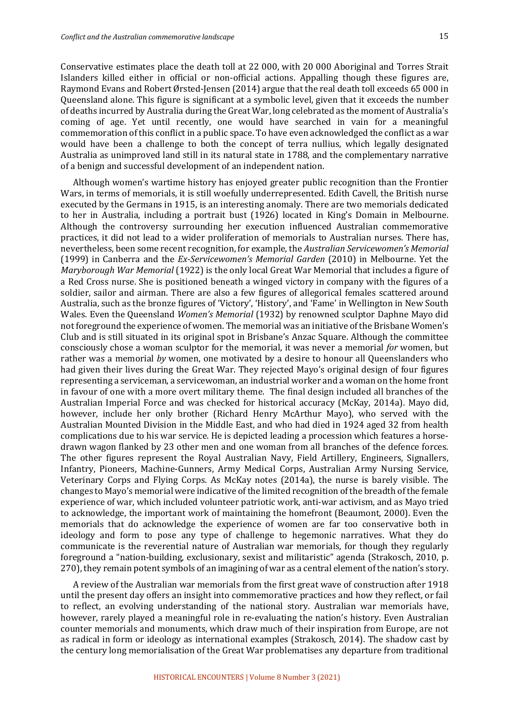Conservative estimates place the death toll at 22 000, with 20 000 Aboriginal and Torres Strait Islanders killed either in official or non-official actions. Appalling though these figures are, Raymond Evans and Robert Ørsted-Jensen (2014) argue that the real death toll exceeds 65 000 in Queensland alone. This figure is significant at a symbolic level, given that it exceeds the number of deaths incurred by Australia during the Great War, long celebrated as the moment of Australia's coming of age. Yet until recently, one would have searched in vain for a meaningful commemoration of this conflict in a public space. To have even acknowledged the conflict as a war would have been a challenge to both the concept of terra nullius, which legally designated Australia as unimproved land still in its natural state in 1788, and the complementary narrative of a benign and successful development of an independent nation.

Although women's wartime history has enjoyed greater public recognition than the Frontier Wars, in terms of memorials, it is still woefully underrepresented. Edith Cavell, the British nurse executed by the Germans in 1915, is an interesting anomaly. There are two memorials dedicated to her in Australia, including a portrait bust (1926) located in King's Domain in Melbourne. Although the controversy surrounding her execution influenced Australian commemorative practices, it did not lead to a wider proliferation of memorials to Australian nurses. There has, nevertheless, been some recent recognition, for example, the *Australian Servicewomen's Memorial* (1999) in Canberra and the *Ex-Servicewomen's Memorial Garden* (2010) in Melbourne. Yet the *Maryborough War Memorial* (1922) is the only local Great War Memorial that includes a figure of a Red Cross nurse. She is positioned beneath a winged victory in company with the figures of a soldier, sailor and airman. There are also a few figures of allegorical females scattered around Australia, such as the bronze figures of 'Victory', 'History', and 'Fame' in Wellington in New South Wales. Even the Queensland *Women's Memorial* (1932) by renowned sculptor Daphne Mayo did not foreground the experience of women. The memorial was an initiative of the Brisbane Women's Club and is still situated in its original spot in Brisbane's Anzac Square. Although the committee consciously chose a woman sculptor for the memorial, it was never a memorial *for* women, but rather was a memorial by women, one motivated by a desire to honour all Queenslanders who had given their lives during the Great War. They rejected Mayo's original design of four figures representing a serviceman, a servicewoman, an industrial worker and a woman on the home front in favour of one with a more overt military theme. The final design included all branches of the Australian Imperial Force and was checked for historical accuracy (McKay, 2014a). Mayo did, however, include her only brother (Richard Henry McArthur Mayo), who served with the Australian Mounted Division in the Middle East, and who had died in 1924 aged 32 from health complications due to his war service. He is depicted leading a procession which features a horsedrawn wagon flanked by 23 other men and one woman from all branches of the defence forces. The other figures represent the Royal Australian Navy, Field Artillery, Engineers, Signallers, Infantry, Pioneers, Machine-Gunners, Army Medical Corps, Australian Army Nursing Service, Veterinary Corps and Flying Corps. As McKay notes (2014a), the nurse is barely visible. The changes to Mayo's memorial were indicative of the limited recognition of the breadth of the female experience of war, which included volunteer patriotic work, anti-war activism, and as Mayo tried to acknowledge, the important work of maintaining the homefront (Beaumont, 2000). Even the memorials that do acknowledge the experience of women are far too conservative both in ideology and form to pose any type of challenge to hegemonic narratives. What they do communicate is the reverential nature of Australian war memorials, for though they regularly foreground a "nation-building, exclusionary, sexist and militaristic" agenda (Strakosch, 2010, p. 270), they remain potent symbols of an imagining of war as a central element of the nation's story.

A review of the Australian war memorials from the first great wave of construction after 1918 until the present day offers an insight into commemorative practices and how they reflect, or fail to reflect, an evolving understanding of the national story. Australian war memorials have, however, rarely played a meaningful role in re-evaluating the nation's history. Even Australian counter memorials and monuments, which draw much of their inspiration from Europe, are not as radical in form or ideology as international examples (Strakosch, 2014). The shadow cast by the century long memorialisation of the Great War problematises any departure from traditional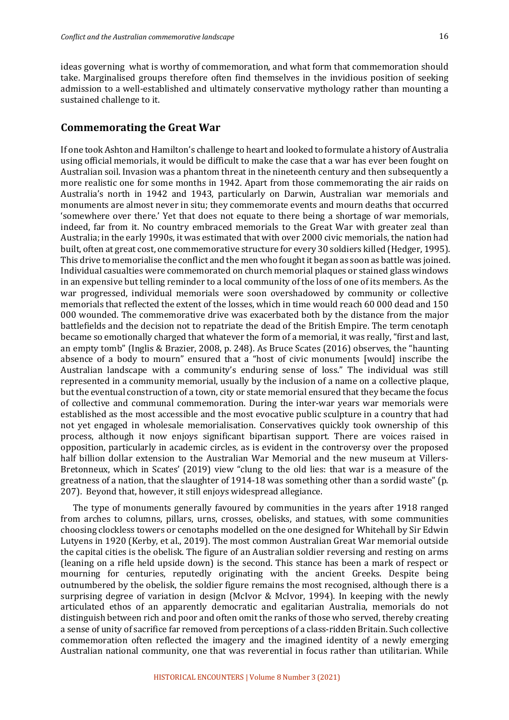ideas governing what is worthy of commemoration, and what form that commemoration should take. Marginalised groups therefore often find themselves in the invidious position of seeking admission to a well-established and ultimately conservative mythology rather than mounting a sustained challenge to it.

#### **Commemorating the Great War**

If one took Ashton and Hamilton's challenge to heart and looked to formulate a history of Australia using official memorials, it would be difficult to make the case that a war has ever been fought on Australian soil. Invasion was a phantom threat in the nineteenth century and then subsequently a more realistic one for some months in 1942. Apart from those commemorating the air raids on Australia's north in 1942 and 1943, particularly on Darwin, Australian war memorials and monuments are almost never in situ; they commemorate events and mourn deaths that occurred 'somewhere over there.' Yet that does not equate to there being a shortage of war memorials, indeed, far from it. No country embraced memorials to the Great War with greater zeal than Australia; in the early 1990s, it was estimated that with over 2000 civic memorials, the nation had built, often at great cost, one commemorative structure for every 30 soldiers killed (Hedger, 1995). This drive to memorialise the conflict and the men who fought it began as soon as battle was joined. Individual casualties were commemorated on church memorial plaques or stained glass windows in an expensive but telling reminder to a local community of the loss of one of its members. As the war progressed, individual memorials were soon overshadowed by community or collective memorials that reflected the extent of the losses, which in time would reach 60 000 dead and 150 000 wounded. The commemorative drive was exacerbated both by the distance from the major battlefields and the decision not to repatriate the dead of the British Empire. The term cenotaph became so emotionally charged that whatever the form of a memorial, it was really, "first and last, an empty tomb" (Inglis & Brazier, 2008, p. 248). As Bruce Scates  $(2016)$  observes, the "haunting absence of a body to mourn" ensured that a "host of civic monuments [would] inscribe the Australian landscape with a community's enduring sense of loss." The individual was still represented in a community memorial, usually by the inclusion of a name on a collective plaque, but the eventual construction of a town, city or state memorial ensured that they became the focus of collective and communal commemoration. During the inter-war years war memorials were established as the most accessible and the most evocative public sculpture in a country that had not yet engaged in wholesale memorialisation. Conservatives quickly took ownership of this process, although it now enjoys significant bipartisan support. There are voices raised in opposition, particularly in academic circles, as is evident in the controversy over the proposed half billion dollar extension to the Australian War Memorial and the new museum at Villers-Bretonneux, which in Scates' (2019) view "clung to the old lies: that war is a measure of the greatness of a nation, that the slaughter of  $1914-18$  was something other than a sordid waste" (p. 207). Beyond that, however, it still enjoys widespread allegiance.

The type of monuments generally favoured by communities in the years after 1918 ranged from arches to columns, pillars, urns, crosses, obelisks, and statues, with some communities choosing clockless towers or cenotaphs modelled on the one designed for Whitehall by Sir Edwin Lutyens in 1920 (Kerby, et al., 2019). The most common Australian Great War memorial outside the capital cities is the obelisk. The figure of an Australian soldier reversing and resting on arms (leaning on a rifle held upside down) is the second. This stance has been a mark of respect or mourning for centuries, reputedly originating with the ancient Greeks. Despite being outnumbered by the obelisk, the soldier figure remains the most recognised, although there is a surprising degree of variation in design (McIvor & McIvor, 1994). In keeping with the newly articulated ethos of an apparently democratic and egalitarian Australia, memorials do not distinguish between rich and poor and often omit the ranks of those who served, thereby creating a sense of unity of sacrifice far removed from perceptions of a class-ridden Britain. Such collective commemoration often reflected the imagery and the imagined identity of a newly emerging Australian national community, one that was reverential in focus rather than utilitarian. While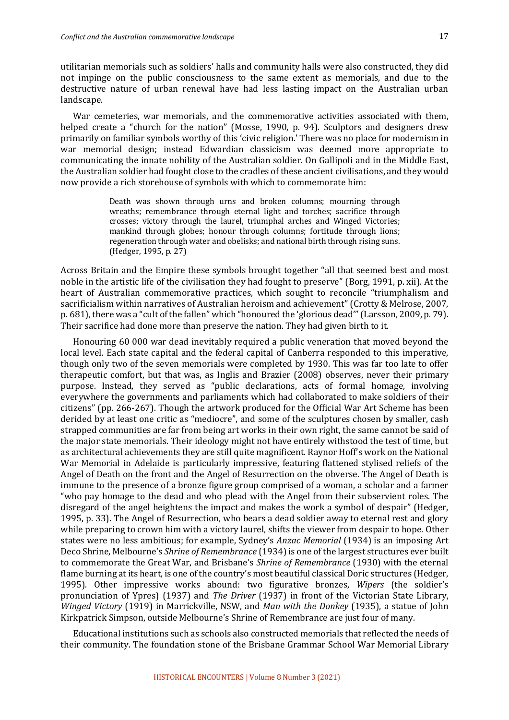utilitarian memorials such as soldiers' halls and community halls were also constructed, they did not impinge on the public consciousness to the same extent as memorials, and due to the destructive nature of urban renewal have had less lasting impact on the Australian urban landscape.

War cemeteries, war memorials, and the commemorative activities associated with them, helped create a "church for the nation" (Mosse, 1990, p. 94). Sculptors and designers drew primarily on familiar symbols worthy of this 'civic religion.' There was no place for modernism in war memorial design; instead Edwardian classicism was deemed more appropriate to communicating the innate nobility of the Australian soldier. On Gallipoli and in the Middle East, the Australian soldier had fought close to the cradles of these ancient civilisations, and they would now provide a rich storehouse of symbols with which to commemorate him:

> Death was shown through urns and broken columns; mourning through wreaths; remembrance through eternal light and torches; sacrifice through crosses; victory through the laurel, triumphal arches and Winged Victories; mankind through globes; honour through columns; fortitude through lions; regeneration through water and obelisks; and national birth through rising suns. (Hedger, 1995, p. 27)

Across Britain and the Empire these symbols brought together "all that seemed best and most noble in the artistic life of the civilisation they had fought to preserve" (Borg, 1991, p. xii). At the heart of Australian commemorative practices, which sought to reconcile "triumphalism and sacrificialism within narratives of Australian heroism and achievement" (Crotty & Melrose, 2007, p. 681), there was a "cult of the fallen" which "honoured the 'glorious dead'" (Larsson, 2009, p. 79). Their sacrifice had done more than preserve the nation. They had given birth to it.

Honouring 60 000 war dead inevitably required a public veneration that moved beyond the local level. Each state capital and the federal capital of Canberra responded to this imperative, though only two of the seven memorials were completed by 1930. This was far too late to offer therapeutic comfort, but that was, as Inglis and Brazier (2008) observes, never their primary purpose. Instead, they served as "public declarations, acts of formal homage, involving everywhere the governments and parliaments which had collaborated to make soldiers of their citizens" (pp. 266-267). Though the artwork produced for the Official War Art Scheme has been derided by at least one critic as "mediocre", and some of the sculptures chosen by smaller, cash strapped communities are far from being art works in their own right, the same cannot be said of the major state memorials. Their ideology might not have entirely withstood the test of time, but as architectural achievements they are still quite magnificent. Raynor Hoff's work on the National War Memorial in Adelaide is particularly impressive, featuring flattened stylised reliefs of the Angel of Death on the front and the Angel of Resurrection on the obverse. The Angel of Death is immune to the presence of a bronze figure group comprised of a woman, a scholar and a farmer "who pay homage to the dead and who plead with the Angel from their subservient roles. The disregard of the angel heightens the impact and makes the work a symbol of despair" (Hedger, 1995, p. 33). The Angel of Resurrection, who bears a dead soldier away to eternal rest and glory while preparing to crown him with a victory laurel, shifts the viewer from despair to hope. Other states were no less ambitious; for example, Sydney's *Anzac Memorial* (1934) is an imposing Art Deco Shrine, Melbourne's *Shrine of Remembrance* (1934) is one of the largest structures ever built to commemorate the Great War, and Brisbane's *Shrine of Remembrance* (1930) with the eternal flame burning at its heart, is one of the country's most beautiful classical Doric structures (Hedger, 1995). Other impressive works abound: two figurative bronzes, *Wipers* (the soldier's pronunciation of Ypres) (1937) and *The Driver* (1937) in front of the Victorian State Library, *Winged Victory* (1919) in Marrickville, NSW, and *Man with the Donkey* (1935), a statue of John Kirkpatrick Simpson, outside Melbourne's Shrine of Remembrance are just four of many.

Educational institutions such as schools also constructed memorials that reflected the needs of their community. The foundation stone of the Brisbane Grammar School War Memorial Library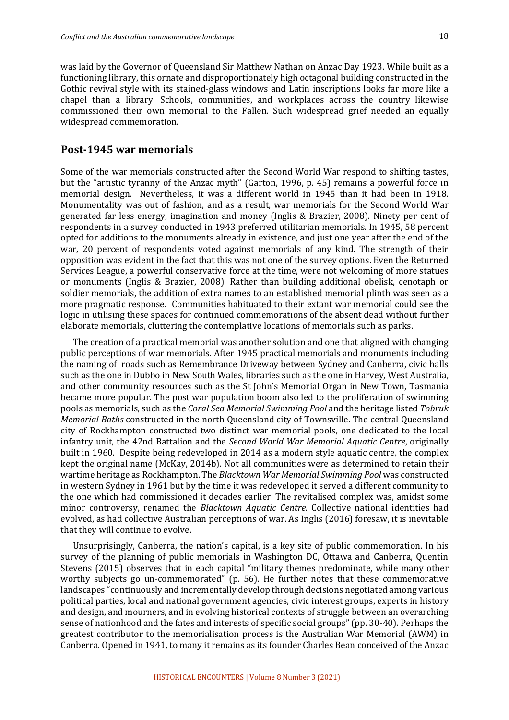was laid by the Governor of Queensland Sir Matthew Nathan on Anzac Day 1923. While built as a functioning library, this ornate and disproportionately high octagonal building constructed in the Gothic revival style with its stained-glass windows and Latin inscriptions looks far more like a chapel than a library. Schools, communities, and workplaces across the country likewise commissioned their own memorial to the Fallen. Such widespread grief needed an equally widespread commemoration.

#### **Post-1945 war memorials**

Some of the war memorials constructed after the Second World War respond to shifting tastes, but the "artistic tyranny of the Anzac myth" (Garton, 1996, p. 45) remains a powerful force in memorial design. Nevertheless, it was a different world in 1945 than it had been in 1918. Monumentality was out of fashion, and as a result, war memorials for the Second World War generated far less energy, imagination and money (Inglis & Brazier, 2008). Ninety per cent of respondents in a survey conducted in 1943 preferred utilitarian memorials. In 1945, 58 percent opted for additions to the monuments already in existence, and just one year after the end of the war, 20 percent of respondents voted against memorials of any kind. The strength of their opposition was evident in the fact that this was not one of the survey options. Even the Returned Services League, a powerful conservative force at the time, were not welcoming of more statues or monuments (Inglis & Brazier, 2008). Rather than building additional obelisk, cenotaph or soldier memorials, the addition of extra names to an established memorial plinth was seen as a more pragmatic response. Communities habituated to their extant war memorial could see the logic in utilising these spaces for continued commemorations of the absent dead without further elaborate memorials, cluttering the contemplative locations of memorials such as parks.

The creation of a practical memorial was another solution and one that aligned with changing public perceptions of war memorials. After 1945 practical memorials and monuments including the naming of roads such as Remembrance Driveway between Sydney and Canberra, civic halls such as the one in Dubbo in New South Wales, libraries such as the one in Harvey, West Australia, and other community resources such as the St John's Memorial Organ in New Town, Tasmania became more popular. The post war population boom also led to the proliferation of swimming pools as memorials, such as the *Coral Sea Memorial Swimming Pool* and the heritage listed *Tobruk Memorial Baths* constructed in the north Queensland city of Townsville. The central Queensland city of Rockhampton constructed two distinct war memorial pools, one dedicated to the local infantry unit, the 42nd Battalion and the *Second World War Memorial Aquatic Centre*, originally built in 1960. Despite being redeveloped in 2014 as a modern style aquatic centre, the complex kept the original name (McKay, 2014b). Not all communities were as determined to retain their wartime heritage as Rockhampton. The *Blacktown War Memorial Swimming Pool* was constructed in western Sydney in 1961 but by the time it was redeveloped it served a different community to the one which had commissioned it decades earlier. The revitalised complex was, amidst some minor controversy, renamed the *Blacktown Aquatic Centre*. Collective national identities had evolved, as had collective Australian perceptions of war. As Inglis (2016) foresaw, it is inevitable that they will continue to evolve.

Unsurprisingly, Canberra, the nation's capital, is a key site of public commemoration. In his survey of the planning of public memorials in Washington DC, Ottawa and Canberra, Quentin Stevens (2015) observes that in each capital "military themes predominate, while many other worthy subjects go un-commemorated" (p. 56). He further notes that these commemorative landscapes "continuously and incrementally develop through decisions negotiated among various political parties, local and national government agencies, civic interest groups, experts in history and design, and mourners, and in evolving historical contexts of struggle between an overarching sense of nationhood and the fates and interests of specific social groups" (pp. 30-40). Perhaps the greatest contributor to the memorialisation process is the Australian War Memorial (AWM) in Canberra. Opened in 1941, to many it remains as its founder Charles Bean conceived of the Anzac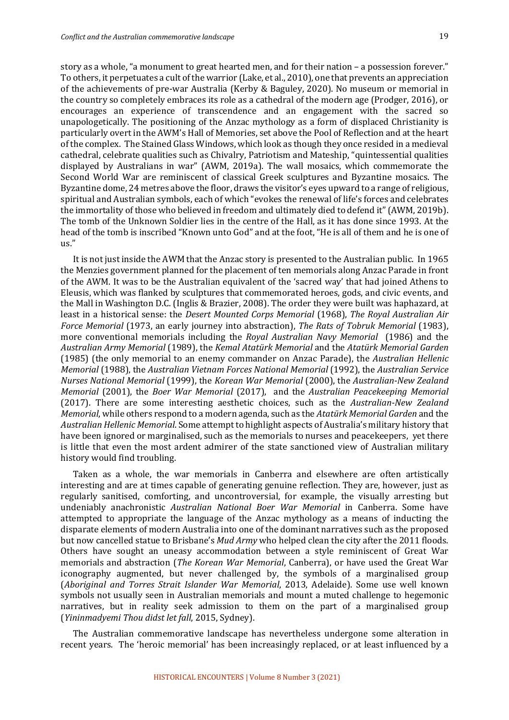us." 

story as a whole, "a monument to great hearted men, and for their nation  $-$  a possession forever." To others, it perpetuates a cult of the warrior (Lake, et al., 2010), one that prevents an appreciation of the achievements of pre-war Australia (Kerby & Baguley, 2020). No museum or memorial in the country so completely embraces its role as a cathedral of the modern age (Prodger, 2016), or encourages an experience of transcendence and an engagement with the sacred so unapologetically. The positioning of the Anzac mythology as a form of displaced Christianity is particularly overt in the AWM's Hall of Memories, set above the Pool of Reflection and at the heart of the complex. The Stained Glass Windows, which look as though they once resided in a medieval cathedral, celebrate qualities such as Chivalry, Patriotism and Mateship, "quintessential qualities displayed by Australians in war" (AWM, 2019a). The wall mosaics, which commemorate the Second World War are reminiscent of classical Greek sculptures and Byzantine mosaics. The Byzantine dome, 24 metres above the floor, draws the visitor's eyes upward to a range of religious, spiritual and Australian symbols, each of which "evokes the renewal of life's forces and celebrates the immortality of those who believed in freedom and ultimately died to defend it" (AWM, 2019b). The tomb of the Unknown Soldier lies in the centre of the Hall, as it has done since 1993. At the

head of the tomb is inscribed "Known unto God" and at the foot, "He is all of them and he is one of

It is not just inside the AWM that the Anzac story is presented to the Australian public. In 1965 the Menzies government planned for the placement of ten memorials along Anzac Parade in front of the AWM. It was to be the Australian equivalent of the 'sacred way' that had joined Athens to Eleusis, which was flanked by sculptures that commemorated heroes, gods, and civic events, and the Mall in Washington D.C. (Inglis & Brazier, 2008). The order they were built was haphazard, at least in a historical sense: the *Desert Mounted Corps Memorial* (1968), *The Royal Australian Air Force Memorial* (1973, an early journey into abstraction), *The Rats of Tobruk Memorial* (1983), more conventional memorials including the *Royal Australian Navy Memorial* (1986) and the *Australian Army Memorial* (1989), the *Kemal Atatürk Memorial* and the *Atatürk Memorial Garden*  (1985) (the only memorial to an enemy commander on Anzac Parade), the *Australian Hellenic Memorial* (1988), the *Australian Vietnam Forces National Memorial* (1992), the *Australian Service Nurses National Memorial* (1999), the *Korean War Memorial* (2000), the Australian-New Zealand *Memorial* (2001), the *Boer War Memorial* (2017), and the *Australian Peacekeeping Memorial* (2017). There are some interesting aesthetic choices, such as the *Australian-New Zealand Memorial*, while others respond to a modern agenda, such as the Atatürk Memorial Garden and the Australian Hellenic Memorial. Some attempt to highlight aspects of Australia's military history that have been ignored or marginalised, such as the memorials to nurses and peacekeepers, yet there is little that even the most ardent admirer of the state sanctioned view of Australian military history would find troubling.

Taken as a whole, the war memorials in Canberra and elsewhere are often artistically interesting and are at times capable of generating genuine reflection. They are, however, just as regularly sanitised, comforting, and uncontroversial, for example, the visually arresting but undeniably anachronistic *Australian National Boer War Memorial* in Canberra. Some have attempted to appropriate the language of the Anzac mythology as a means of inducting the disparate elements of modern Australia into one of the dominant narratives such as the proposed but now cancelled statue to Brisbane's *Mud Army* who helped clean the city after the 2011 floods. Others have sought an uneasy accommodation between a style reminiscent of Great War memorials and abstraction (*The Korean War Memorial*, Canberra), or have used the Great War iconography augmented, but never challenged by, the symbols of a marginalised group (*Aboriginal and Torres Strait Islander War Memorial*, 2013, Adelaide). Some use well known symbols not usually seen in Australian memorials and mount a muted challenge to hegemonic narratives, but in reality seek admission to them on the part of a marginalised group (*Yininmadyemi Thou didst let fall*, 2015, Sydney). 

The Australian commemorative landscape has nevertheless undergone some alteration in recent years. The 'heroic memorial' has been increasingly replaced, or at least influenced by a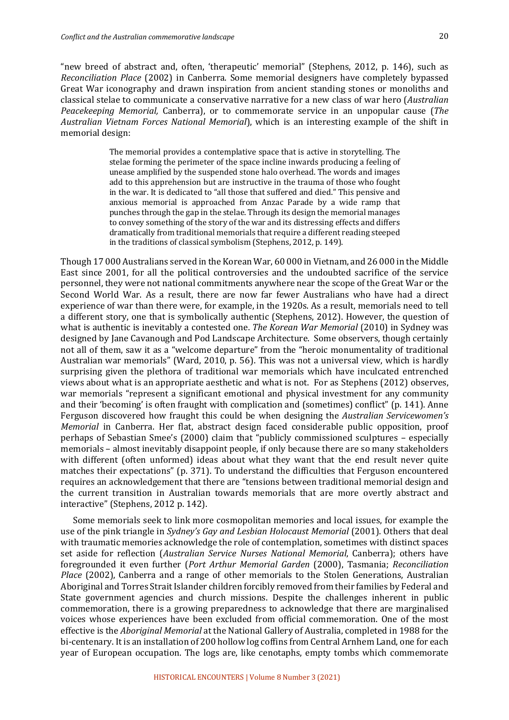"new breed of abstract and, often, 'therapeutic' memorial" (Stephens, 2012, p. 146), such as *Reconciliation Place* (2002) in Canberra. Some memorial designers have completely bypassed Great War iconography and drawn inspiration from ancient standing stones or monoliths and classical stelae to communicate a conservative narrative for a new class of war hero (*Australian Peacekeeping Memorial,* Canberra), or to commemorate service in an unpopular cause (*The Australian Vietnam Forces National Memorial*), which is an interesting example of the shift in memorial design:

> The memorial provides a contemplative space that is active in storytelling. The stelae forming the perimeter of the space incline inwards producing a feeling of unease amplified by the suspended stone halo overhead. The words and images add to this apprehension but are instructive in the trauma of those who fought in the war. It is dedicated to "all those that suffered and died." This pensive and anxious memorial is approached from Anzac Parade by a wide ramp that punches through the gap in the stelae. Through its design the memorial manages to convey something of the story of the war and its distressing effects and differs dramatically from traditional memorials that require a different reading steeped in the traditions of classical symbolism (Stephens, 2012, p. 149).

Though 17 000 Australians served in the Korean War, 60 000 in Vietnam, and 26 000 in the Middle East since 2001, for all the political controversies and the undoubted sacrifice of the service personnel, they were not national commitments anywhere near the scope of the Great War or the Second World War. As a result, there are now far fewer Australians who have had a direct experience of war than there were, for example, in the 1920s. As a result, memorials need to tell a different story, one that is symbolically authentic (Stephens, 2012). However, the question of what is authentic is inevitably a contested one. The Korean War Memorial (2010) in Sydney was designed by Jane Cavanough and Pod Landscape Architecture. Some observers, though certainly not all of them, saw it as a "welcome departure" from the "heroic monumentality of traditional Australian war memorials" (Ward, 2010, p. 56). This was not a universal view, which is hardly surprising given the plethora of traditional war memorials which have inculcated entrenched views about what is an appropriate aesthetic and what is not. For as Stephens (2012) observes, war memorials "represent a significant emotional and physical investment for any community and their 'becoming' is often fraught with complication and (sometimes) conflict" (p. 141). Anne Ferguson discovered how fraught this could be when designing the Australian Servicewomen's *Memorial* in Canberra. Her flat, abstract design faced considerable public opposition, proof perhaps of Sebastian Smee's (2000) claim that "publicly commissioned sculptures – especially memorials – almost inevitably disappoint people, if only because there are so many stakeholders with different (often unformed) ideas about what they want that the end result never quite matches their expectations" (p. 371). To understand the difficulties that Ferguson encountered requires an acknowledgement that there are "tensions between traditional memorial design and the current transition in Australian towards memorials that are more overtly abstract and interactive" (Stephens, 2012 p. 142).

Some memorials seek to link more cosmopolitan memories and local issues, for example the use of the pink triangle in *Sydney's Gay and Lesbian Holocaust Memorial* (2001). Others that deal with traumatic memories acknowledge the role of contemplation, sometimes with distinct spaces set aside for reflection (*Australian Service Nurses National Memorial*, Canberra); others have foregrounded it even further (Port Arthur Memorial Garden (2000), Tasmania; Reconciliation *Place* (2002), Canberra and a range of other memorials to the Stolen Generations, Australian Aboriginal and Torres Strait Islander children forcibly removed from their families by Federal and State government agencies and church missions. Despite the challenges inherent in public commemoration, there is a growing preparedness to acknowledge that there are marginalised voices whose experiences have been excluded from official commemoration. One of the most effective is the *Aboriginal Memorial* at the National Gallery of Australia, completed in 1988 for the bi-centenary. It is an installation of 200 hollow log coffins from Central Arnhem Land, one for each year of European occupation. The logs are, like cenotaphs, empty tombs which commemorate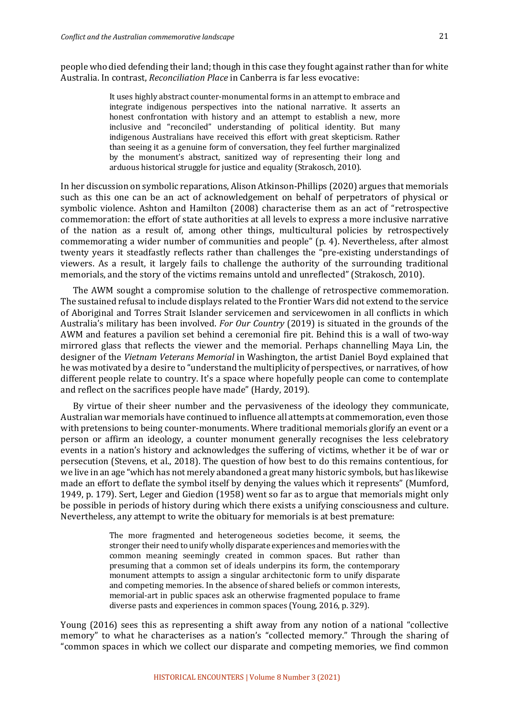people who died defending their land; though in this case they fought against rather than for white Australia. In contrast, *Reconciliation Place* in Canberra is far less evocative:

> It uses highly abstract counter-monumental forms in an attempt to embrace and integrate indigenous perspectives into the national narrative. It asserts an honest confrontation with history and an attempt to establish a new, more inclusive and "reconciled" understanding of political identity. But many indigenous Australians have received this effort with great skepticism. Rather than seeing it as a genuine form of conversation, they feel further marginalized by the monument's abstract, sanitized way of representing their long and arduous historical struggle for justice and equality (Strakosch, 2010).

In her discussion on symbolic reparations, Alison Atkinson-Phillips (2020) argues that memorials such as this one can be an act of acknowledgement on behalf of perpetrators of physical or symbolic violence. Ashton and Hamilton (2008) characterise them as an act of "retrospective commemoration: the effort of state authorities at all levels to express a more inclusive narrative of the nation as a result of, among other things, multicultural policies by retrospectively commemorating a wider number of communities and people" (p. 4). Nevertheless, after almost twenty years it steadfastly reflects rather than challenges the "pre-existing understandings of viewers. As a result, it largely fails to challenge the authority of the surrounding traditional memorials, and the story of the victims remains untold and unreflected" (Strakosch, 2010).

The AWM sought a compromise solution to the challenge of retrospective commemoration. The sustained refusal to include displays related to the Frontier Wars did not extend to the service of Aboriginal and Torres Strait Islander servicemen and servicewomen in all conflicts in which Australia's military has been involved. For Our Country (2019) is situated in the grounds of the AWM and features a pavilion set behind a ceremonial fire pit. Behind this is a wall of two-way mirrored glass that reflects the viewer and the memorial. Perhaps channelling Maya Lin, the designer of the *Vietnam Veterans Memorial* in Washington, the artist Daniel Boyd explained that he was motivated by a desire to "understand the multiplicity of perspectives, or narratives, of how different people relate to country. It's a space where hopefully people can come to contemplate and reflect on the sacrifices people have made" (Hardy, 2019).

By virtue of their sheer number and the pervasiveness of the ideology they communicate, Australian war memorials have continued to influence all attempts at commemoration, even those with pretensions to being counter-monuments. Where traditional memorials glorify an event or a person or affirm an ideology, a counter monument generally recognises the less celebratory events in a nation's history and acknowledges the suffering of victims, whether it be of war or persecution (Stevens, et al., 2018). The question of how best to do this remains contentious, for we live in an age "which has not merely abandoned a great many historic symbols, but has likewise made an effort to deflate the symbol itself by denying the values which it represents" (Mumford, 1949, p. 179). Sert, Leger and Giedion (1958) went so far as to argue that memorials might only be possible in periods of history during which there exists a unifying consciousness and culture. Nevertheless, any attempt to write the obituary for memorials is at best premature:

> The more fragmented and heterogeneous societies become, it seems, the stronger their need to unify wholly disparate experiences and memories with the common meaning seemingly created in common spaces. But rather than presuming that a common set of ideals underpins its form, the contemporary monument attempts to assign a singular architectonic form to unify disparate and competing memories. In the absence of shared beliefs or common interests, memorial-art in public spaces ask an otherwise fragmented populace to frame diverse pasts and experiences in common spaces (Young, 2016, p. 329).

Young (2016) sees this as representing a shift away from any notion of a national "collective" memory" to what he characterises as a nation's "collected memory." Through the sharing of "common spaces in which we collect our disparate and competing memories, we find common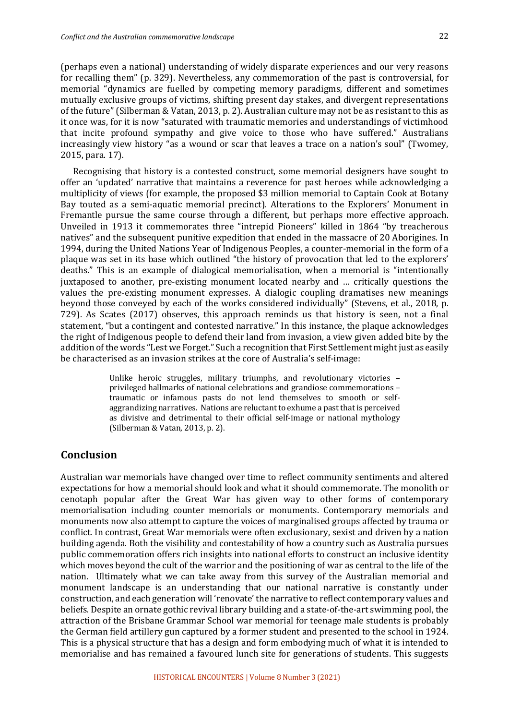(perhaps even a national) understanding of widely disparate experiences and our very reasons for recalling them" (p. 329). Nevertheless, any commemoration of the past is controversial, for memorial "dynamics are fuelled by competing memory paradigms, different and sometimes mutually exclusive groups of victims, shifting present day stakes, and divergent representations of the future" (Silberman & Vatan, 2013, p. 2). Australian culture may not be as resistant to this as it once was, for it is now "saturated with traumatic memories and understandings of victimhood that incite profound sympathy and give voice to those who have suffered." Australians increasingly view history "as a wound or scar that leaves a trace on a nation's soul" (Twomey, 2015, para. 17).

Recognising that history is a contested construct, some memorial designers have sought to offer an 'updated' narrative that maintains a reverence for past heroes while acknowledging a multiplicity of views (for example, the proposed \$3 million memorial to Captain Cook at Botany Bay touted as a semi-aquatic memorial precinct). Alterations to the Explorers' Monument in Fremantle pursue the same course through a different, but perhaps more effective approach. Unveiled in 1913 it commemorates three "intrepid Pioneers" killed in 1864 "by treacherous natives" and the subsequent punitive expedition that ended in the massacre of 20 Aborigines. In 1994, during the United Nations Year of Indigenous Peoples, a counter-memorial in the form of a plaque was set in its base which outlined "the history of provocation that led to the explorers' deaths." This is an example of dialogical memorialisation, when a memorial is "intentionally juxtaposed to another, pre-existing monument located nearby and ... critically questions the values the pre-existing monument expresses. A dialogic coupling dramatises new meanings beyond those conveyed by each of the works considered individually" (Stevens, et al., 2018, p. 729). As Scates (2017) observes, this approach reminds us that history is seen, not a final statement, "but a contingent and contested narrative." In this instance, the plaque acknowledges the right of Indigenous people to defend their land from invasion, a view given added bite by the addition of the words "Lest we Forget." Such a recognition that First Settlement might just as easily be characterised as an invasion strikes at the core of Australia's self-image:

> Unlike heroic struggles, military triumphs, and revolutionary victories privileged hallmarks of national celebrations and grandiose commemorations traumatic or infamous pasts do not lend themselves to smooth or selfaggrandizing narratives. Nations are reluctant to exhume a past that is perceived as divisive and detrimental to their official self-image or national mythology (Silberman & Vatan, 2013, p. 2).

#### **Conclusion**

Australian war memorials have changed over time to reflect community sentiments and altered expectations for how a memorial should look and what it should commemorate. The monolith or cenotaph popular after the Great War has given way to other forms of contemporary memorialisation including counter memorials or monuments. Contemporary memorials and monuments now also attempt to capture the voices of marginalised groups affected by trauma or conflict. In contrast, Great War memorials were often exclusionary, sexist and driven by a nation building agenda. Both the visibility and contestability of how a country such as Australia pursues public commemoration offers rich insights into national efforts to construct an inclusive identity which moves beyond the cult of the warrior and the positioning of war as central to the life of the nation. Ultimately what we can take away from this survey of the Australian memorial and monument landscape is an understanding that our national narrative is constantly under construction, and each generation will 'renovate' the narrative to reflect contemporary values and beliefs. Despite an ornate gothic revival library building and a state-of-the-art swimming pool, the attraction of the Brisbane Grammar School war memorial for teenage male students is probably the German field artillery gun captured by a former student and presented to the school in 1924. This is a physical structure that has a design and form embodying much of what it is intended to memorialise and has remained a favoured lunch site for generations of students. This suggests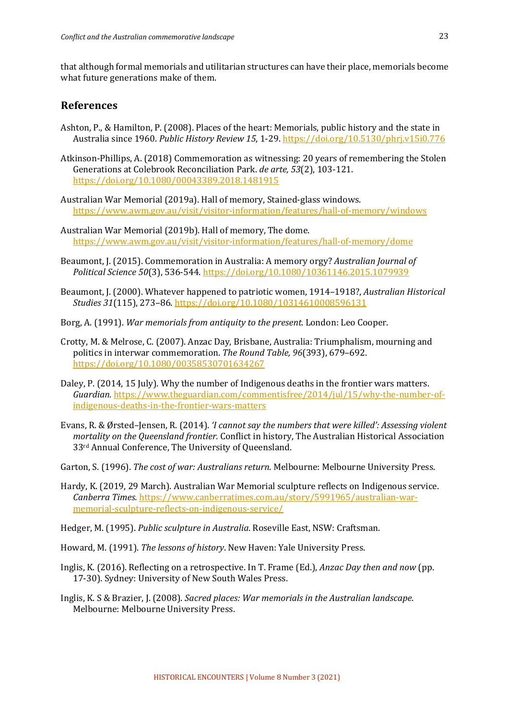that although formal memorials and utilitarian structures can have their place, memorials become what future generations make of them.

#### **References**

- Ashton, P., & Hamilton, P. (2008). Places of the heart: Memorials, public history and the state in Australia since 1960. *Public History Review 15*, 1-29. https://doi.org/10.5130/phrj.v15i0.776
- Atkinson-Phillips, A. (2018) Commemoration as witnessing: 20 years of remembering the Stolen Generations at Colebrook Reconciliation Park. *de arte,* 53(2), 103-121. https://doi.org/10.1080/00043389.2018.1481915
- Australian War Memorial (2019a). Hall of memory, Stained-glass windows. https://www.awm.gov.au/visit/visitor-information/features/hall-of-memory/windows
- Australian War Memorial (2019b). Hall of memory, The dome. https://www.awm.gov.au/visit/visitor-information/features/hall-of-memory/dome
- Beaumont, J. (2015). Commemoration in Australia: A memory orgy? *Australian Journal of Political Science 50*(3), 536-544. https://doi.org/10.1080/10361146.2015.1079939
- Beaumont, J. (2000). Whatever happened to patriotic women, 1914–1918?, *Australian Historical Studies 31*(115), 273–86. https://doi.org/10.1080/10314610008596131
- Borg, A. (1991). *War memorials from antiquity to the present*. London: Leo Cooper.
- Crotty, M. & Melrose, C. (2007). Anzac Day, Brisbane, Australia: Triumphalism, mourning and politics in interwar commemoration. *The Round Table, 96*(393), 679–692. https://doi.org/10.1080/00358530701634267
- Daley, P. (2014, 15 July). Why the number of Indigenous deaths in the frontier wars matters. *Guardian.* https://www.theguardian.com/commentisfree/2014/jul/15/why-the-number-ofindigenous-deaths-in-the-frontier-wars-matters
- Evans, R. & Ørsted-Jensen, R. (2014). '*I cannot say the numbers that were killed': Assessing violent mortality on the Queensland frontier.* Conflict in history, The Australian Historical Association 33<sup>rd</sup> Annual Conference. The University of Oueensland.
- Garton, S. (1996). *The cost of war: Australians return*. Melbourne: Melbourne University Press.
- Hardy, K. (2019, 29 March). Australian War Memorial sculpture reflects on Indigenous service. *Canberra Times.* https://www.canberratimes.com.au/story/5991965/australian-warmemorial-sculpture-reflects-on-indigenous-service/

Hedger, M. (1995). *Public sculpture in Australia*. Roseville East, NSW: Craftsman.

- Howard, M. (1991). *The lessons of history*. New Haven: Yale University Press.
- Inglis, K. (2016). Reflecting on a retrospective. In T. Frame (Ed.), *Anzac Day then and now* (pp. 17-30). Sydney: University of New South Wales Press.
- Inglis, K. S & Brazier, J. (2008). *Sacred places: War memorials in the Australian landscape.* Melbourne: Melbourne University Press.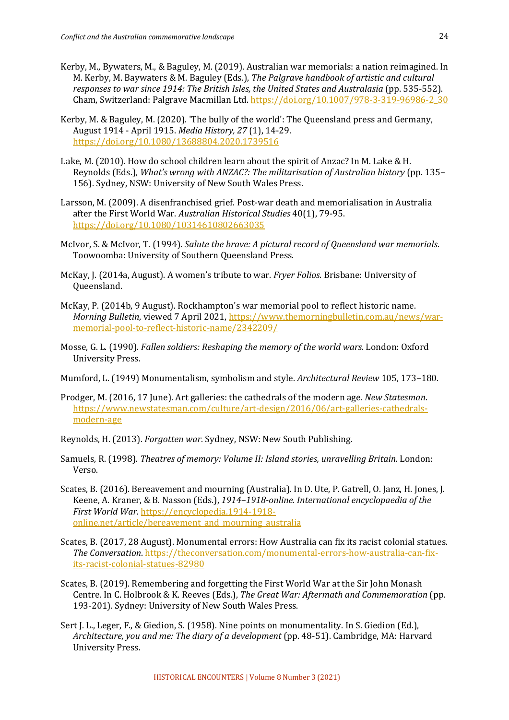- Kerby, M., Bywaters, M., & Baguley, M. (2019). Australian war memorials: a nation reimagined. In M. Kerby, M. Baywaters & M. Baguley (Eds.), *The Palgrave handbook of artistic and cultural responses to war since 1914: The British Isles, the United States and Australasia* (pp. 535-552). Cham, Switzerland: Palgrave Macmillan Ltd. https://doi.org/10.1007/978-3-319-96986-2\_30
- Kerby, M. & Baguley, M. (2020). 'The bully of the world': The Queensland press and Germany. August 1914 - April 1915. *Media History, 27* (1), 14-29. https://doi.org/10.1080/13688804.2020.1739516
- Lake, M. (2010). How do school children learn about the spirit of Anzac? In M. Lake & H. Reynolds (Eds.), *What's wrong with ANZAC?: The militarisation of Australian history* (pp. 135– 156). Sydney, NSW: University of New South Wales Press.
- Larsson, M. (2009). A disenfranchised grief. Post-war death and memorialisation in Australia after the First World War. *Australian Historical Studies* 40(1), 79-95. https://doi.org/10.1080/10314610802663035
- McIvor, S. & McIvor, T. (1994). *Salute the brave: A pictural record of Queensland war memorials.* Toowoomba: University of Southern Queensland Press.
- McKay, J. (2014a, August). A women's tribute to war. *Fryer Folios*. Brisbane: University of Queensland.
- McKay, P. (2014b, 9 August). Rockhampton's war memorial pool to reflect historic name. *Morning Bulletin, viewed* 7 April 2021, https://www.themorningbulletin.com.au/news/warmemorial-pool-to-reflect-historic-name/2342209/
- Mosse, G. L. (1990). *Fallen soldiers: Reshaping the memory of the world wars*. London: Oxford University Press.
- Mumford, L. (1949) Monumentalism, symbolism and style. *Architectural Review* 105, 173-180.
- Prodger, M. (2016, 17 June). Art galleries: the cathedrals of the modern age. *New Statesman*. https://www.newstatesman.com/culture/art-design/2016/06/art-galleries-cathedralsmodern-age
- Reynolds, H. (2013). *Forgotten war*. Sydney, NSW: New South Publishing.
- Samuels, R. (1998). *Theatres of memory: Volume II: Island stories, unravelling Britain*. London: Verso.
- Scates, B. (2016). Bereavement and mourning (Australia). In D. Ute, P. Gatrell, O. Janz, H. Jones, J. Keene, A. Kraner, & B. Nasson (Eds.), 1914–1918-online. International encyclopaedia of the *First World War.* https://encyclopedia.1914-1918 online.net/article/bereavement\_and\_mourning\_australia
- Scates, B. (2017, 28 August). Monumental errors: How Australia can fix its racist colonial statues. *The Conversation.* https://theconversation.com/monumental-errors-how-australia-can-fixits-racist-colonial-statues-82980
- Scates, B. (2019). Remembering and forgetting the First World War at the Sir John Monash Centre. In C. Holbrook & K. Reeves (Eds.), *The Great War: Aftermath and Commemoration* (pp. 193-201). Sydney: University of New South Wales Press.
- Sert J. L., Leger, F., & Giedion, S. (1958). Nine points on monumentality. In S. Giedion (Ed.), *Architecture, you and me: The diary of a development* (pp. 48-51). Cambridge, MA: Harvard University Press.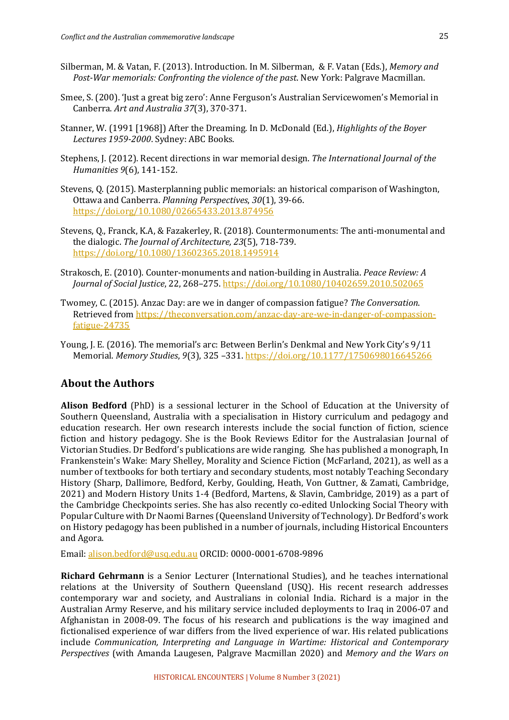- Silberman, M. & Vatan, F. (2013). Introduction. In M. Silberman, & F. Vatan (Eds.), *Memory and Post-War memorials: Confronting the violence of the past.* New York: Palgrave Macmillan.
- Smee, S. (200). 'Just a great big zero': Anne Ferguson's Australian Servicewomen's Memorial in Canberra. *Art and Australia 37*(3), 370-371.
- Stanner, W. (1991 [1968]) After the Dreaming. In D. McDonald (Ed.), *Highlights of the Boyer* Lectures 1959-2000. Sydney: ABC Books.
- Stephens, J. (2012). Recent directions in war memorial design. *The International Journal of the Humanities 9*(6), 141-152.
- Stevens, Q. (2015). Masterplanning public memorials: an historical comparison of Washington, Ottawa and Canberra. *Planning Perspectives*, 30(1), 39-66. https://doi.org/10.1080/02665433.2013.874956
- Stevens, O., Franck, K.A, & Fazakerley, R. (2018). Countermonuments: The anti-monumental and the dialogic. The Journal of Architecture, 23(5), 718-739. https://doi.org/10.1080/13602365.2018.1495914
- Strakosch, E. (2010). Counter-monuments and nation-building in Australia. *Peace Review: A Journal of Social Justice,* 22, 268-275. https://doi.org/10.1080/10402659.2010.502065
- Twomey, C. (2015). Anzac Day: are we in danger of compassion fatigue? The Conversation. Retrieved from https://theconversation.com/anzac-day-are-we-in-danger-of-compassionfatigue-24735
- Young, J. E. (2016). The memorial's arc: Between Berlin's Denkmal and New York City's 9/11 Memorial. Memory Studies, 9(3), 325 -331. https://doi.org/10.1177/1750698016645266

#### **About the Authors**

**Alison Bedford** (PhD) is a sessional lecturer in the School of Education at the University of Southern Queensland, Australia with a specialisation in History curriculum and pedagogy and education research. Her own research interests include the social function of fiction, science fiction and history pedagogy. She is the Book Reviews Editor for the Australasian Journal of Victorian Studies. Dr Bedford's publications are wide ranging. She has published a monograph, In Frankenstein's Wake: Mary Shelley, Morality and Science Fiction (McFarland, 2021), as well as a number of textbooks for both tertiary and secondary students, most notably Teaching Secondary History (Sharp, Dallimore, Bedford, Kerby, Goulding, Heath, Von Guttner, & Zamati, Cambridge, 2021) and Modern History Units 1-4 (Bedford, Martens, & Slavin, Cambridge, 2019) as a part of the Cambridge Checkpoints series. She has also recently co-edited Unlocking Social Theory with Popular Culture with Dr Naomi Barnes (Queensland University of Technology). Dr Bedford's work on History pedagogy has been published in a number of journals, including Historical Encounters and Agora.

Email: alison.bedford@usq.edu.au ORCID: 0000-0001-6708-9896

**Richard Gehrmann** is a Senior Lecturer (International Studies), and he teaches international relations at the University of Southern Queensland (USQ). His recent research addresses contemporary war and society, and Australians in colonial India. Richard is a major in the Australian Army Reserve, and his military service included deployments to Iraq in 2006-07 and Afghanistan in 2008-09. The focus of his research and publications is the way imagined and fictionalised experience of war differs from the lived experience of war. His related publications include *Communication, Interpreting and Language in Wartime: Historical and Contemporary Perspectives* (with Amanda Laugesen, Palgrave Macmillan 2020) and *Memory and the Wars on*